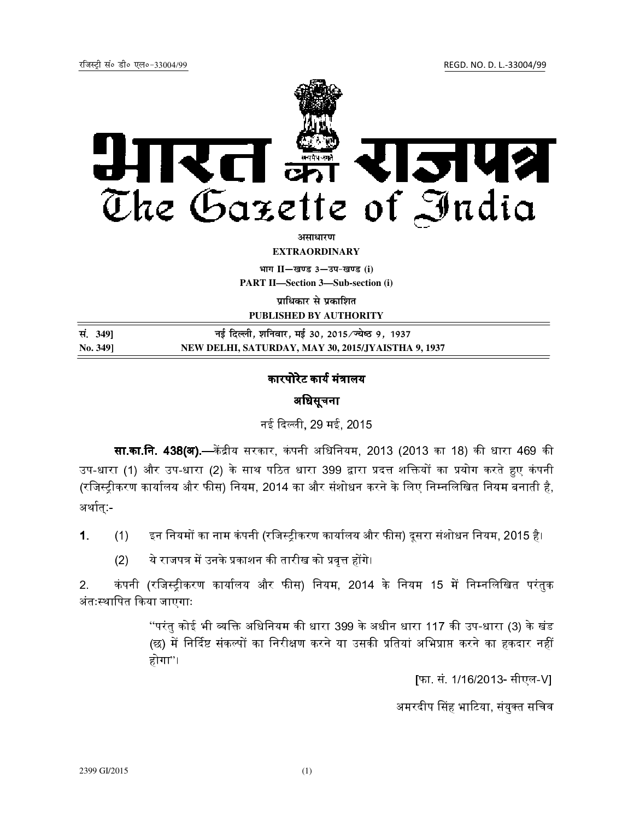रजिस्ट्री सं० डी० एल०-33004/99 रजिल्लाको अस्ति । अपनी पाउँमा सम्मा पाउँमा सम्मा पाउँमा सम्मा सम्मा सम्मा सम्मा



**vlk/kj.k**

**EXTRAORDINARY**

**Hkkx II—[k.M 3—mi&[k.M (i)**

**PART II—Section 3—Sub-section (i)** 

**प्राधिकार से प्रकाशित** 

**PUBLISHED BY AUTHORITY**

| सं. 349] | नई दिल्ली, शनिवार, मई 30, 2015⁄ज्येष्ठ 9, 1937     |
|----------|----------------------------------------------------|
| No. 3491 | NEW DELHI, SATURDAY, MAY 30, 2015/JYAISTHA 9, 1937 |

## कारपोरेट कार्य मंत्रालय

## अधिसूचना

नई द ली, 29 मई, 2015

**सा.का.नि. 438(अ).**—केंद्रीय सरकार, कंपनी अधिनियम, 2013 (2013 का 18) की धारा 469 की. उप-धारा (1) और उप-धारा (2) के साथ पठित धारा 399 द्वारा प्रदत्त शक्तियों का प्रयोग करते हुए कंपनी (रजिस्ट्रीकरण कार्यालय और फीस) नियम, 2014 का और संशोधन करने के लिए निम्नलिखित नियम बनाती है, अर्थात:-

1. (1) इन नियमों का नाम कंपनी (रजिस्ट्रीकरण कार्यालय और फीस) दूसरा संशोधन नियम, 2015 है।

<u>(2) ये राजपत्र में उनके प्रकाशन की तारीख को प्रवत्त होंगे।</u>

2. कंपनी (रजिस्टीकरण कार्यालय और फीस) नियम, 2014 के नियम 15 में निम्नलिखित परंतक अंतः2थािपत कया जाएगाः

> "परंतु कोई भी व्यक्ति अधिनियम की धारा 399 के अधीन धारा 117 की उप-धारा (3) के खंड (छ) में निर्दिष्ट संकल्पों का निरीक्षण करने या उसकी प्रतियां अभिप्राप्त करने का हकदार नहीं होगा"।

> > [फा. सं. 1/16/2013- सीएल-V]

अमरदीप सिंह भाटिया, संयुक्त सचिव